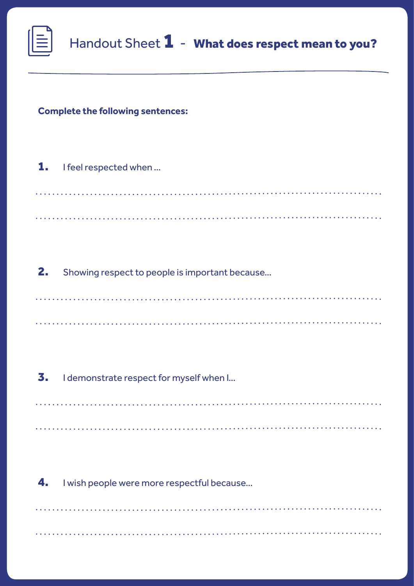## **Complete the following sentences:**

1. I feel respected when ...

2. Showing respect to people is important because…

3. I demonstrate respect for myself when I...

4. I wish people were more respectful because...

<u>. . . . . . . . . . .</u>